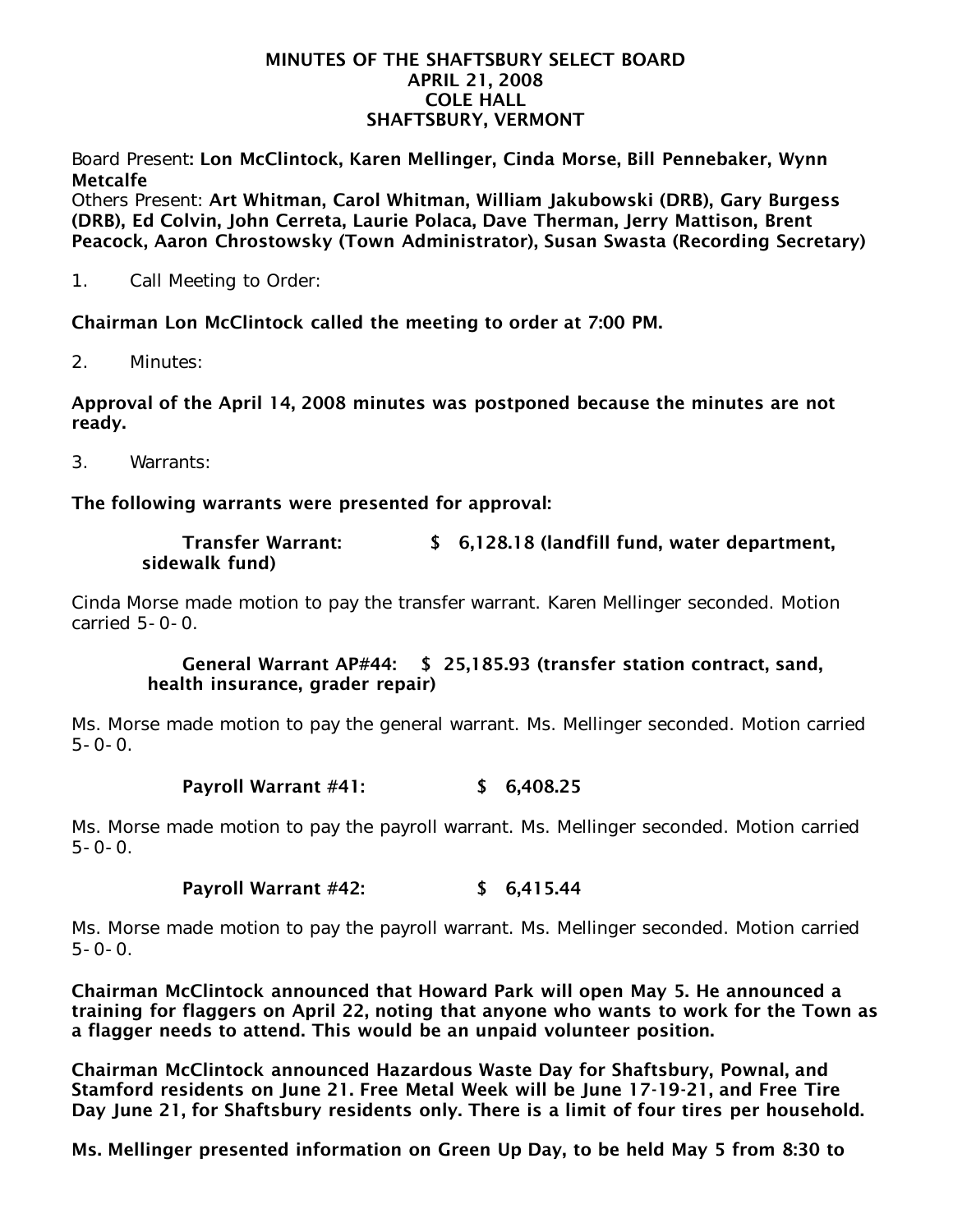#### MINUTES OF THE SHAFTSBURY SELECT BOARD APRIL 21, 2008 COLE HALL SHAFTSBURY, VERMONT

Board Present: Lon McClintock, Karen Mellinger, Cinda Morse, Bill Pennebaker, Wynn Metcalfe

Others Present: Art Whitman, Carol Whitman, William Jakubowski (DRB), Gary Burgess (DRB), Ed Colvin, John Cerreta, Laurie Polaca, Dave Therman, Jerry Mattison, Brent Peacock, Aaron Chrostowsky (Town Administrator), Susan Swasta (Recording Secretary)

1. Call Meeting to Order:

Chairman Lon McClintock called the meeting to order at 7:00 PM.

2. Minutes:

Approval of the April 14, 2008 minutes was postponed because the minutes are not ready.

3. Warrants:

The following warrants were presented for approval:

| <b>Transfer Warrant:</b> | \$ 6,128.18 (landfill fund, water department, |
|--------------------------|-----------------------------------------------|
| sidewalk fund)           |                                               |

Cinda Morse made motion to pay the transfer warrant. Karen Mellinger seconded. Motion carried 5-0-0.

## General Warrant AP#44: \$ 25,185.93 (transfer station contract, sand, health insurance, grader repair)

Ms. Morse made motion to pay the general warrant. Ms. Mellinger seconded. Motion carried  $5 - 0 - 0$ .

### Payroll Warrant #41: \$ 6,408.25

Ms. Morse made motion to pay the payroll warrant. Ms. Mellinger seconded. Motion carried  $5 - 0 - 0$ .

# Payroll Warrant #42: \$ 6,415.44

Ms. Morse made motion to pay the payroll warrant. Ms. Mellinger seconded. Motion carried  $5 - 0 - 0$ .

Chairman McClintock announced that Howard Park will open May 5. He announced a training for flaggers on April 22, noting that anyone who wants to work for the Town as a flagger needs to attend. This would be an unpaid volunteer position.

Chairman McClintock announced Hazardous Waste Day for Shaftsbury, Pownal, and Stamford residents on June 21. Free Metal Week will be June 17-19-21, and Free Tire Day June 21, for Shaftsbury residents only. There is a limit of four tires per household.

Ms. Mellinger presented information on Green Up Day, to be held May 5 from 8:30 to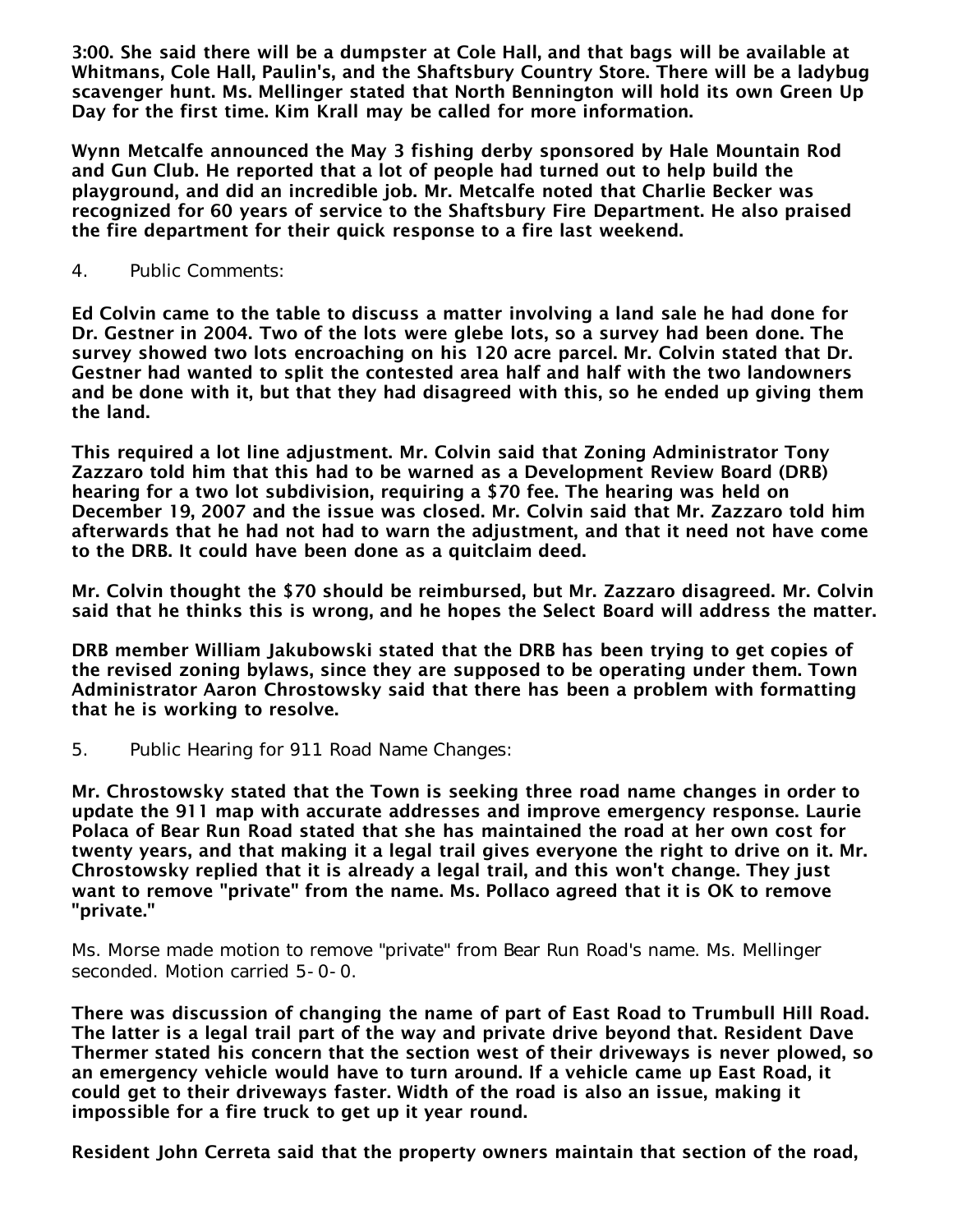3:00. She said there will be a dumpster at Cole Hall, and that bags will be available at Whitmans, Cole Hall, Paulin's, and the Shaftsbury Country Store. There will be a ladybug scavenger hunt. Ms. Mellinger stated that North Bennington will hold its own Green Up Day for the first time. Kim Krall may be called for more information.

Wynn Metcalfe announced the May 3 fishing derby sponsored by Hale Mountain Rod and Gun Club. He reported that a lot of people had turned out to help build the playground, and did an incredible job. Mr. Metcalfe noted that Charlie Becker was recognized for 60 years of service to the Shaftsbury Fire Department. He also praised the fire department for their quick response to a fire last weekend.

4. Public Comments:

Ed Colvin came to the table to discuss a matter involving a land sale he had done for Dr. Gestner in 2004. Two of the lots were glebe lots, so a survey had been done. The survey showed two lots encroaching on his 120 acre parcel. Mr. Colvin stated that Dr. Gestner had wanted to split the contested area half and half with the two landowners and be done with it, but that they had disagreed with this, so he ended up giving them the land.

This required a lot line adjustment. Mr. Colvin said that Zoning Administrator Tony Zazzaro told him that this had to be warned as a Development Review Board (DRB) hearing for a two lot subdivision, requiring a \$70 fee. The hearing was held on December 19, 2007 and the issue was closed. Mr. Colvin said that Mr. Zazzaro told him afterwards that he had not had to warn the adjustment, and that it need not have come to the DRB. It could have been done as a quitclaim deed.

Mr. Colvin thought the \$70 should be reimbursed, but Mr. Zazzaro disagreed. Mr. Colvin said that he thinks this is wrong, and he hopes the Select Board will address the matter.

DRB member William Jakubowski stated that the DRB has been trying to get copies of the revised zoning bylaws, since they are supposed to be operating under them. Town Administrator Aaron Chrostowsky said that there has been a problem with formatting that he is working to resolve.

5. Public Hearing for 911 Road Name Changes:

Mr. Chrostowsky stated that the Town is seeking three road name changes in order to update the 911 map with accurate addresses and improve emergency response. Laurie Polaca of Bear Run Road stated that she has maintained the road at her own cost for twenty years, and that making it a legal trail gives everyone the right to drive on it. Mr. Chrostowsky replied that it is already a legal trail, and this won't change. They just want to remove "private" from the name. Ms. Pollaco agreed that it is OK to remove "private."

Ms. Morse made motion to remove "private" from Bear Run Road's name. Ms. Mellinger seconded. Motion carried 5-0-0.

There was discussion of changing the name of part of East Road to Trumbull Hill Road. The latter is a legal trail part of the way and private drive beyond that. Resident Dave Thermer stated his concern that the section west of their driveways is never plowed, so an emergency vehicle would have to turn around. If a vehicle came up East Road, it could get to their driveways faster. Width of the road is also an issue, making it impossible for a fire truck to get up it year round.

Resident John Cerreta said that the property owners maintain that section of the road,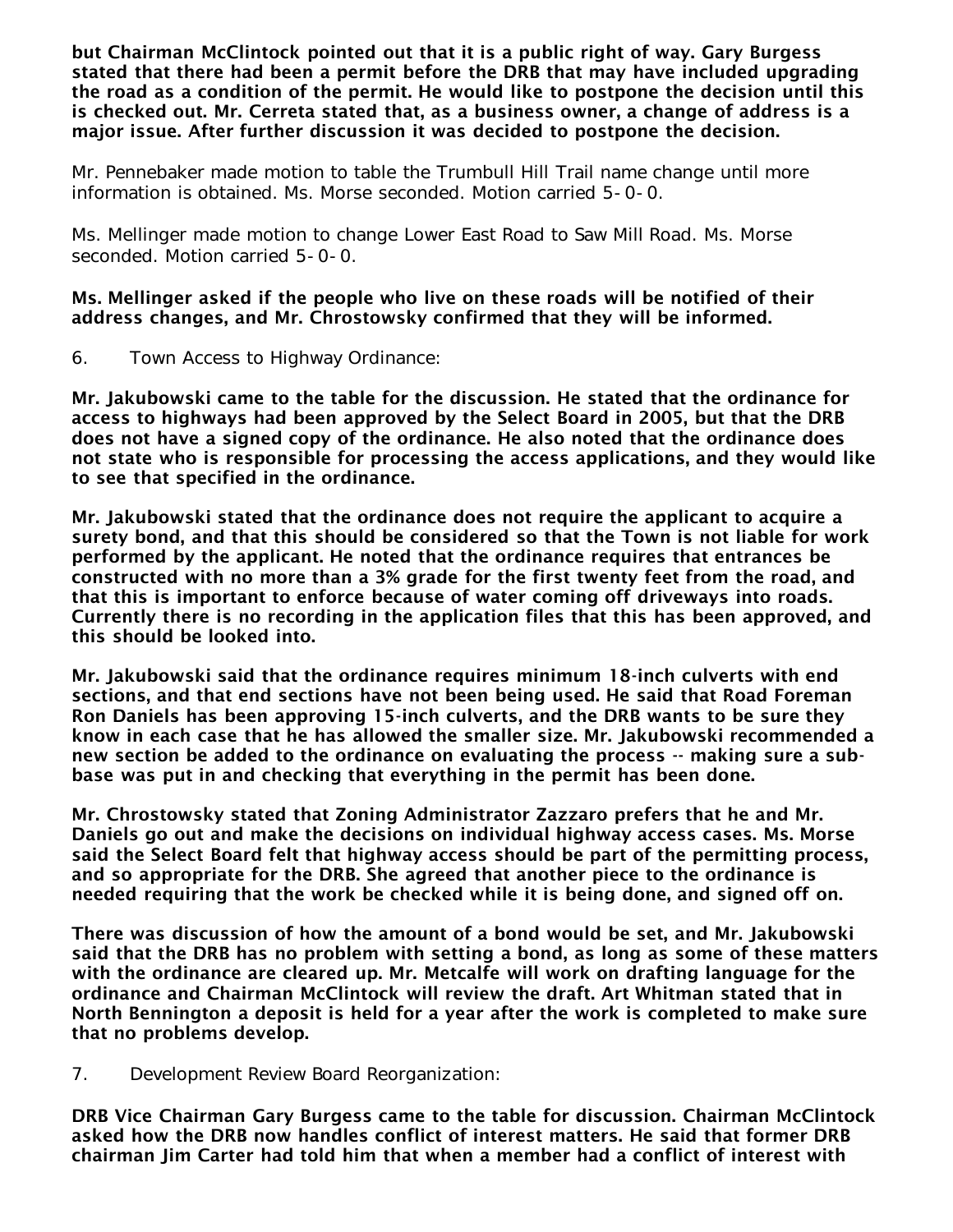but Chairman McClintock pointed out that it is a public right of way. Gary Burgess stated that there had been a permit before the DRB that may have included upgrading the road as a condition of the permit. He would like to postpone the decision until this is checked out. Mr. Cerreta stated that, as a business owner, a change of address is a major issue. After further discussion it was decided to postpone the decision.

Mr. Pennebaker made motion to table the Trumbull Hill Trail name change until more information is obtained. Ms. Morse seconded. Motion carried 5-0-0.

Ms. Mellinger made motion to change Lower East Road to Saw Mill Road. Ms. Morse seconded. Motion carried 5-0-0.

### Ms. Mellinger asked if the people who live on these roads will be notified of their address changes, and Mr. Chrostowsky confirmed that they will be informed.

6. Town Access to Highway Ordinance:

Mr. Jakubowski came to the table for the discussion. He stated that the ordinance for access to highways had been approved by the Select Board in 2005, but that the DRB does not have a signed copy of the ordinance. He also noted that the ordinance does not state who is responsible for processing the access applications, and they would like to see that specified in the ordinance.

Mr. Jakubowski stated that the ordinance does not require the applicant to acquire a surety bond, and that this should be considered so that the Town is not liable for work performed by the applicant. He noted that the ordinance requires that entrances be constructed with no more than a 3% grade for the first twenty feet from the road, and that this is important to enforce because of water coming off driveways into roads. Currently there is no recording in the application files that this has been approved, and this should be looked into.

Mr. Jakubowski said that the ordinance requires minimum 18-inch culverts with end sections, and that end sections have not been being used. He said that Road Foreman Ron Daniels has been approving 15-inch culverts, and the DRB wants to be sure they know in each case that he has allowed the smaller size. Mr. Jakubowski recommended a new section be added to the ordinance on evaluating the process -- making sure a subbase was put in and checking that everything in the permit has been done.

Mr. Chrostowsky stated that Zoning Administrator Zazzaro prefers that he and Mr. Daniels go out and make the decisions on individual highway access cases. Ms. Morse said the Select Board felt that highway access should be part of the permitting process, and so appropriate for the DRB. She agreed that another piece to the ordinance is needed requiring that the work be checked while it is being done, and signed off on.

There was discussion of how the amount of a bond would be set, and Mr. Jakubowski said that the DRB has no problem with setting a bond, as long as some of these matters with the ordinance are cleared up. Mr. Metcalfe will work on drafting language for the ordinance and Chairman McClintock will review the draft. Art Whitman stated that in North Bennington a deposit is held for a year after the work is completed to make sure that no problems develop.

7. Development Review Board Reorganization:

DRB Vice Chairman Gary Burgess came to the table for discussion. Chairman McClintock asked how the DRB now handles conflict of interest matters. He said that former DRB chairman Jim Carter had told him that when a member had a conflict of interest with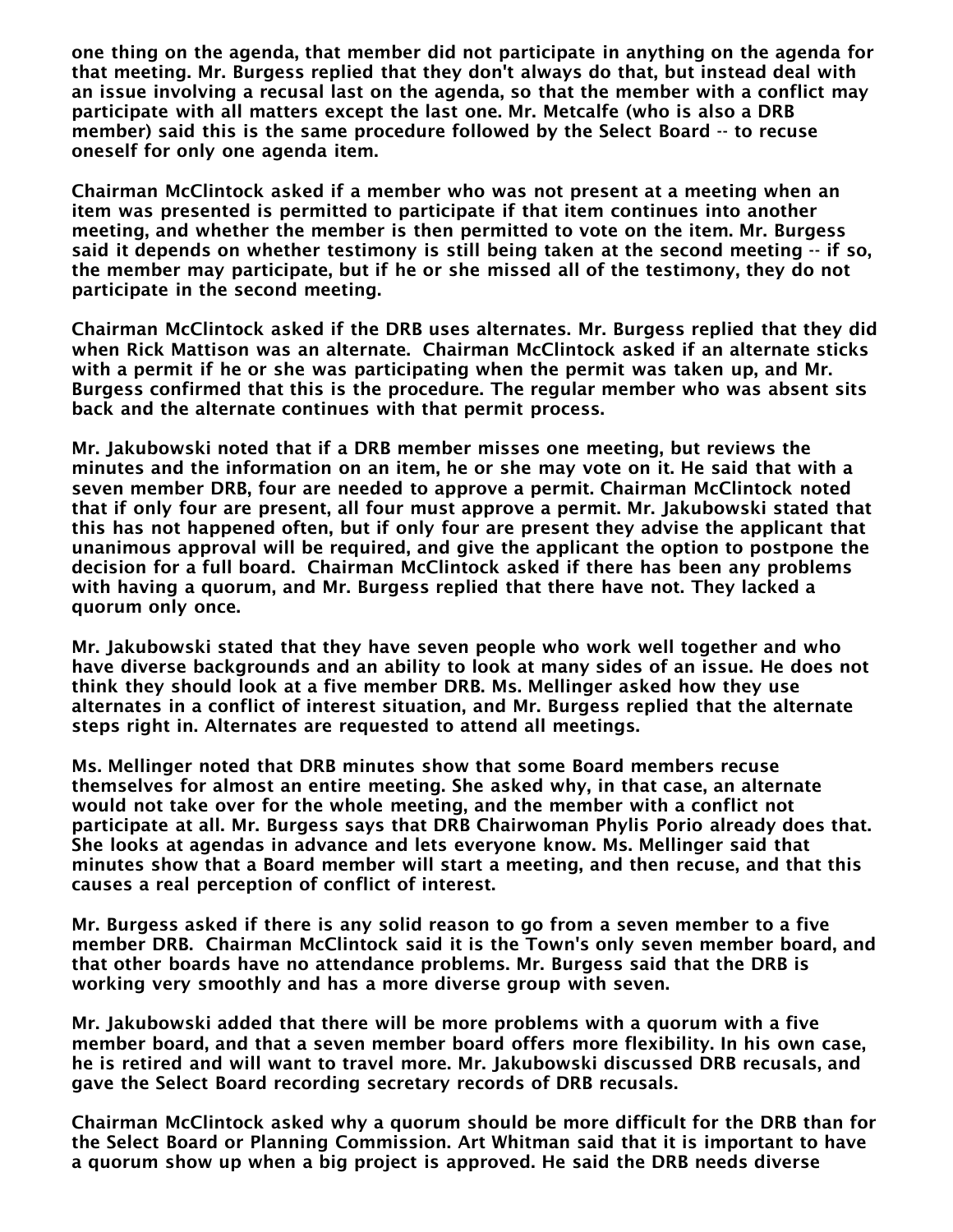one thing on the agenda, that member did not participate in anything on the agenda for that meeting. Mr. Burgess replied that they don't always do that, but instead deal with an issue involving a recusal last on the agenda, so that the member with a conflict may participate with all matters except the last one. Mr. Metcalfe (who is also a DRB member) said this is the same procedure followed by the Select Board -- to recuse oneself for only one agenda item.

Chairman McClintock asked if a member who was not present at a meeting when an item was presented is permitted to participate if that item continues into another meeting, and whether the member is then permitted to vote on the item. Mr. Burgess said it depends on whether testimony is still being taken at the second meeting -- if so, the member may participate, but if he or she missed all of the testimony, they do not participate in the second meeting.

Chairman McClintock asked if the DRB uses alternates. Mr. Burgess replied that they did when Rick Mattison was an alternate. Chairman McClintock asked if an alternate sticks with a permit if he or she was participating when the permit was taken up, and Mr. Burgess confirmed that this is the procedure. The regular member who was absent sits back and the alternate continues with that permit process.

Mr. Jakubowski noted that if a DRB member misses one meeting, but reviews the minutes and the information on an item, he or she may vote on it. He said that with a seven member DRB, four are needed to approve a permit. Chairman McClintock noted that if only four are present, all four must approve a permit. Mr. Jakubowski stated that this has not happened often, but if only four are present they advise the applicant that unanimous approval will be required, and give the applicant the option to postpone the decision for a full board. Chairman McClintock asked if there has been any problems with having a quorum, and Mr. Burgess replied that there have not. They lacked a quorum only once.

Mr. Jakubowski stated that they have seven people who work well together and who have diverse backgrounds and an ability to look at many sides of an issue. He does not think they should look at a five member DRB. Ms. Mellinger asked how they use alternates in a conflict of interest situation, and Mr. Burgess replied that the alternate steps right in. Alternates are requested to attend all meetings.

Ms. Mellinger noted that DRB minutes show that some Board members recuse themselves for almost an entire meeting. She asked why, in that case, an alternate would not take over for the whole meeting, and the member with a conflict not participate at all. Mr. Burgess says that DRB Chairwoman Phylis Porio already does that. She looks at agendas in advance and lets everyone know. Ms. Mellinger said that minutes show that a Board member will start a meeting, and then recuse, and that this causes a real perception of conflict of interest.

Mr. Burgess asked if there is any solid reason to go from a seven member to a five member DRB. Chairman McClintock said it is the Town's only seven member board, and that other boards have no attendance problems. Mr. Burgess said that the DRB is working very smoothly and has a more diverse group with seven.

Mr. Jakubowski added that there will be more problems with a quorum with a five member board, and that a seven member board offers more flexibility. In his own case, he is retired and will want to travel more. Mr. Jakubowski discussed DRB recusals, and gave the Select Board recording secretary records of DRB recusals.

Chairman McClintock asked why a quorum should be more difficult for the DRB than for the Select Board or Planning Commission. Art Whitman said that it is important to have a quorum show up when a big project is approved. He said the DRB needs diverse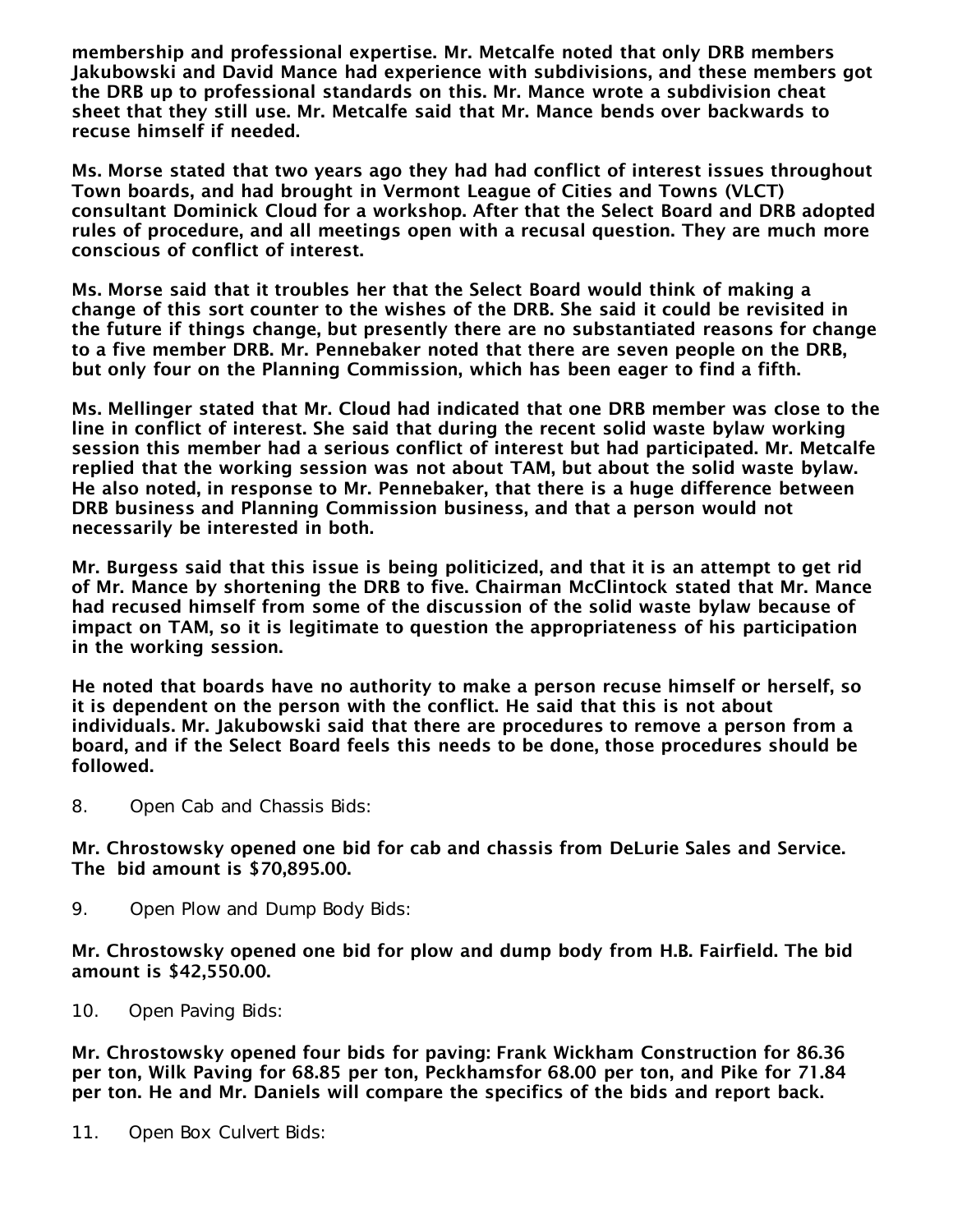membership and professional expertise. Mr. Metcalfe noted that only DRB members Jakubowski and David Mance had experience with subdivisions, and these members got the DRB up to professional standards on this. Mr. Mance wrote a subdivision cheat sheet that they still use. Mr. Metcalfe said that Mr. Mance bends over backwards to recuse himself if needed.

Ms. Morse stated that two years ago they had had conflict of interest issues throughout Town boards, and had brought in Vermont League of Cities and Towns (VLCT) consultant Dominick Cloud for a workshop. After that the Select Board and DRB adopted rules of procedure, and all meetings open with a recusal question. They are much more conscious of conflict of interest.

Ms. Morse said that it troubles her that the Select Board would think of making a change of this sort counter to the wishes of the DRB. She said it could be revisited in the future if things change, but presently there are no substantiated reasons for change to a five member DRB. Mr. Pennebaker noted that there are seven people on the DRB, but only four on the Planning Commission, which has been eager to find a fifth.

Ms. Mellinger stated that Mr. Cloud had indicated that one DRB member was close to the line in conflict of interest. She said that during the recent solid waste bylaw working session this member had a serious conflict of interest but had participated. Mr. Metcalfe replied that the working session was not about TAM, but about the solid waste bylaw. He also noted, in response to Mr. Pennebaker, that there is a huge difference between DRB business and Planning Commission business, and that a person would not necessarily be interested in both.

Mr. Burgess said that this issue is being politicized, and that it is an attempt to get rid of Mr. Mance by shortening the DRB to five. Chairman McClintock stated that Mr. Mance had recused himself from some of the discussion of the solid waste bylaw because of impact on TAM, so it is legitimate to question the appropriateness of his participation in the working session.

He noted that boards have no authority to make a person recuse himself or herself, so it is dependent on the person with the conflict. He said that this is not about individuals. Mr. Jakubowski said that there are procedures to remove a person from a board, and if the Select Board feels this needs to be done, those procedures should be followed.

8. Open Cab and Chassis Bids:

Mr. Chrostowsky opened one bid for cab and chassis from DeLurie Sales and Service. The bid amount is \$70,895.00.

9. Open Plow and Dump Body Bids:

Mr. Chrostowsky opened one bid for plow and dump body from H.B. Fairfield. The bid amount is \$42,550.00.

10. Open Paving Bids:

Mr. Chrostowsky opened four bids for paving: Frank Wickham Construction for 86.36 per ton, Wilk Paving for 68.85 per ton, Peckhamsfor 68.00 per ton, and Pike for 71.84 per ton. He and Mr. Daniels will compare the specifics of the bids and report back.

11. Open Box Culvert Bids: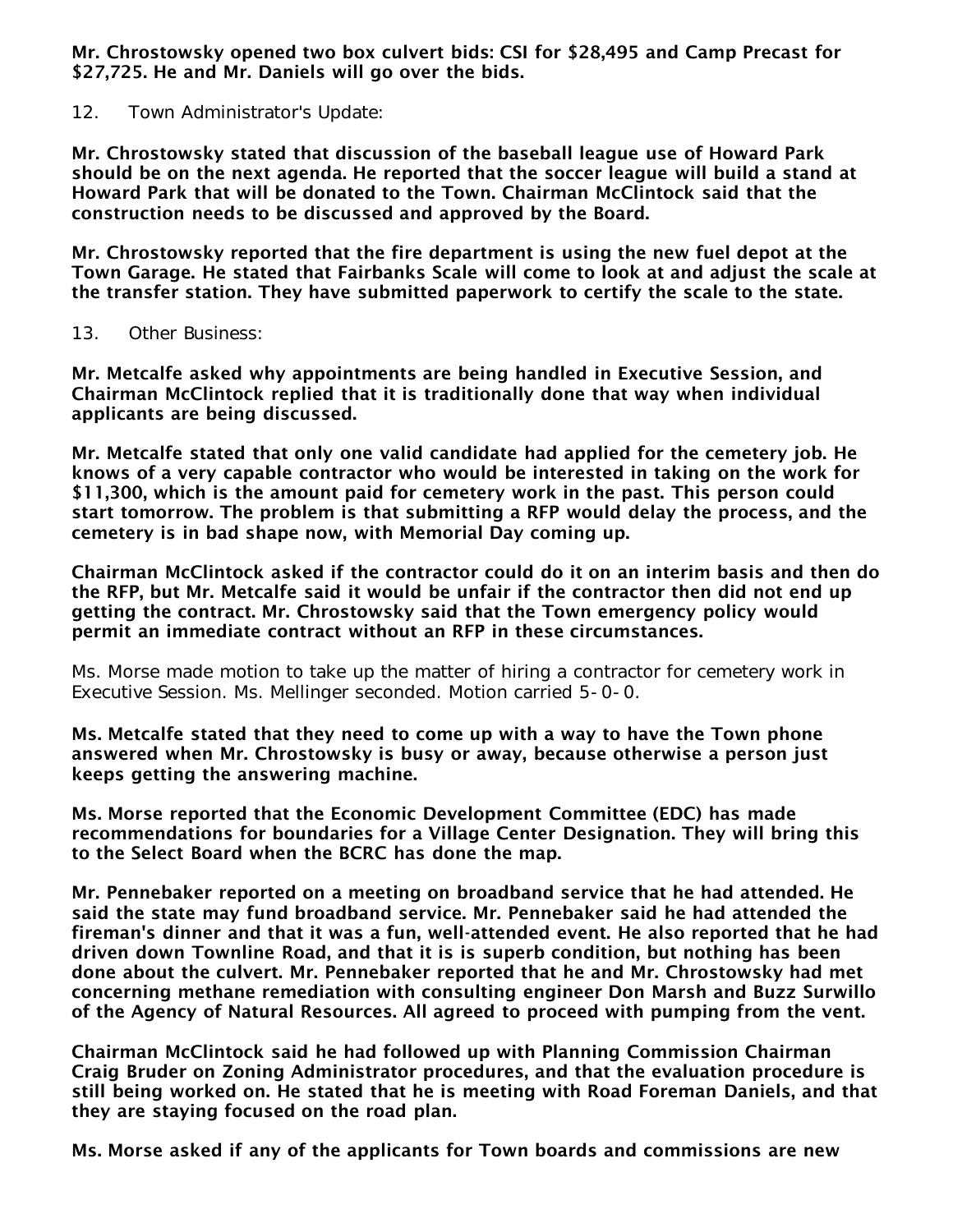Mr. Chrostowsky opened two box culvert bids: CSI for \$28,495 and Camp Precast for \$27,725. He and Mr. Daniels will go over the bids.

12. Town Administrator's Update:

Mr. Chrostowsky stated that discussion of the baseball league use of Howard Park should be on the next agenda. He reported that the soccer league will build a stand at Howard Park that will be donated to the Town. Chairman McClintock said that the construction needs to be discussed and approved by the Board.

Mr. Chrostowsky reported that the fire department is using the new fuel depot at the Town Garage. He stated that Fairbanks Scale will come to look at and adjust the scale at the transfer station. They have submitted paperwork to certify the scale to the state.

### 13. Other Business:

Mr. Metcalfe asked why appointments are being handled in Executive Session, and Chairman McClintock replied that it is traditionally done that way when individual applicants are being discussed.

Mr. Metcalfe stated that only one valid candidate had applied for the cemetery job. He knows of a very capable contractor who would be interested in taking on the work for \$11,300, which is the amount paid for cemetery work in the past. This person could start tomorrow. The problem is that submitting a RFP would delay the process, and the cemetery is in bad shape now, with Memorial Day coming up.

Chairman McClintock asked if the contractor could do it on an interim basis and then do the RFP, but Mr. Metcalfe said it would be unfair if the contractor then did not end up getting the contract. Mr. Chrostowsky said that the Town emergency policy would permit an immediate contract without an RFP in these circumstances.

Ms. Morse made motion to take up the matter of hiring a contractor for cemetery work in Executive Session. Ms. Mellinger seconded. Motion carried 5-0-0.

Ms. Metcalfe stated that they need to come up with a way to have the Town phone answered when Mr. Chrostowsky is busy or away, because otherwise a person just keeps getting the answering machine.

Ms. Morse reported that the Economic Development Committee (EDC) has made recommendations for boundaries for a Village Center Designation. They will bring this to the Select Board when the BCRC has done the map.

Mr. Pennebaker reported on a meeting on broadband service that he had attended. He said the state may fund broadband service. Mr. Pennebaker said he had attended the fireman's dinner and that it was a fun, well-attended event. He also reported that he had driven down Townline Road, and that it is is superb condition, but nothing has been done about the culvert. Mr. Pennebaker reported that he and Mr. Chrostowsky had met concerning methane remediation with consulting engineer Don Marsh and Buzz Surwillo of the Agency of Natural Resources. All agreed to proceed with pumping from the vent.

Chairman McClintock said he had followed up with Planning Commission Chairman Craig Bruder on Zoning Administrator procedures, and that the evaluation procedure is still being worked on. He stated that he is meeting with Road Foreman Daniels, and that they are staying focused on the road plan.

Ms. Morse asked if any of the applicants for Town boards and commissions are new